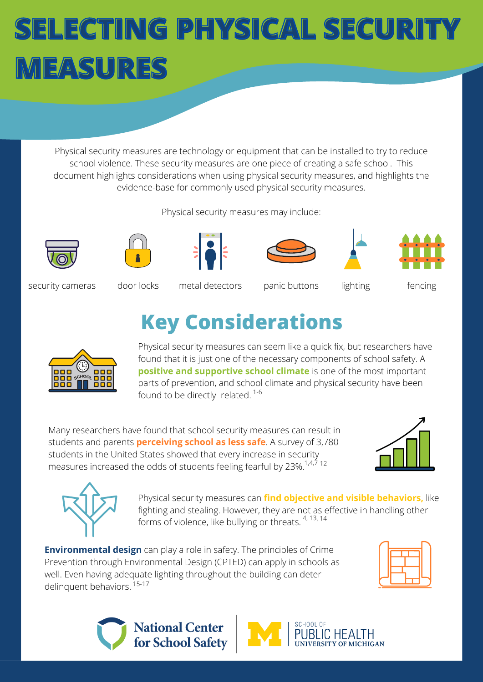Physical security measures are technology or equipment that can be installed to try to reduce school violence. These security measures are one piece of creating a safe school. This document highlights considerations when using physical security measures, and highlights the evidence-base for commonly used physical security measures.

Physical security measures may include:













security cameras door locks metal detectors panic buttons lighting fencing

### **Key Considerations**



Physical security measures can seem like a quick fix, but researchers have found that it is just one of the necessary components of school safety. A **positive and supportive school climate** is one of the most important parts of prevention, and school climate and physical security have been found to be directly related.  $1-6$ 

Many researchers have found that school security measures can result in students and parents **perceiving school as less safe**. A survey of 3,780 students in the United States showed that every increase in security measures increased the odds of students feeling fearful by 23%.<sup>1,4,7-12</sup>





Physical security measures can **find objective and visible behaviors,** like fighting and stealing. However, they are not as effective in handling other forms of violence, like bullying or threats.  $4,13,14$ 

**Environmental design** can play a role in safety. The principles of Crime Prevention through Environmental Design (CPTED) can apply in schools as well. Even having adequate lighting throughout the building can deter delinquent behaviors. 15-17





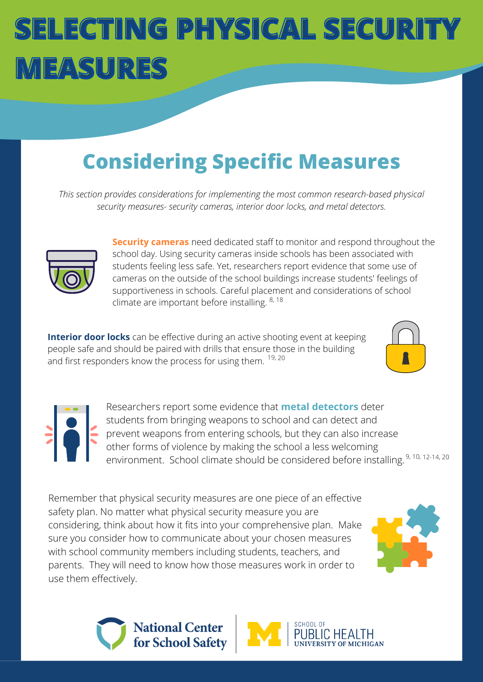### **Considering Specific Measures**

*This section provides considerations for implementing the most common research-based physical security measures- security cameras, interior door locks, and metal detectors.*



**Security cameras** need dedicated staff to monitor and respond throughout the school day. Using security cameras inside schools has been associated with students feeling less safe. Yet, researchers report evidence that some use of cameras on the outside of the school buildings increase students' feelings of supportiveness in schools. Careful placement and considerations of school climate are important before installing. <sup>8, 18</sup>

**Interior door locks** can be effective during an active shooting event at keeping people safe and should be paired with drills that ensure those in the building and first responders know the process for using them. <sup>19, 20</sup>





Researchers report some evidence that **metal detectors** deter students from bringing weapons to school and can detect and prevent weapons from entering schools, but they can also increase other forms of violence by making the school a less welcoming environment. School climate should be considered before installing. <sup>9, 10, 12-14, 20</sup>

Remember that physical security measures are one piece of an effective safety plan. No matter what physical security measure you are considering, think about how it fits into your comprehensive plan. Make sure you consider how to communicate about your chosen measures with school community members including students, teachers, and parents. They will need to know how those measures work in order to use them effectively.





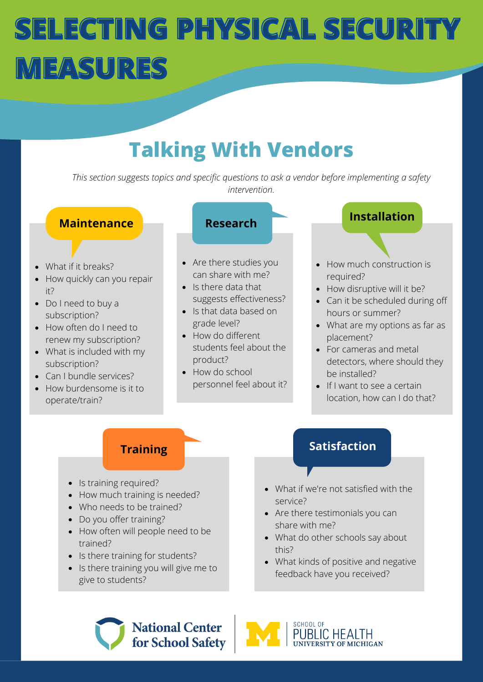### **Talking With Vendors**

*This section suggests topics and specific questions to ask a vendor before implementing a safety intervention.*

#### **Maintenance**

- What if it breaks?
- How quickly can you repair it?
- Do I need to buy a subscription?
- How often do I need to renew my subscription?
- What is included with my subscription?
- Can I bundle services?
- How burdensome is it to operate/train?



- Are there studies you can share with me?
- Is there data that suggests effectiveness?
- Is that data based on grade level?
- How do different students feel about the product?
- How do school personnel feel about it?



- How much construction is required?
- How disruptive will it be?
- Can it be scheduled during off hours or summer?
- What are my options as far as placement?
- For cameras and metal detectors, where should they be installed?
- $\bullet$  If I want to see a certain location, how can I do that?

#### **Training**

- Is training required?
- How much training is needed?
- Who needs to be trained?
- Do you offer training?
- How often will people need to be trained?
- Is there training for students?
- Is there training you will give me to give to students?

#### **Satisfaction**

- What if we're not satisfied with the service?
- Are there testimonials you can share with me?
- What do other schools say about this?
- What kinds of positive and negative feedback have you received?



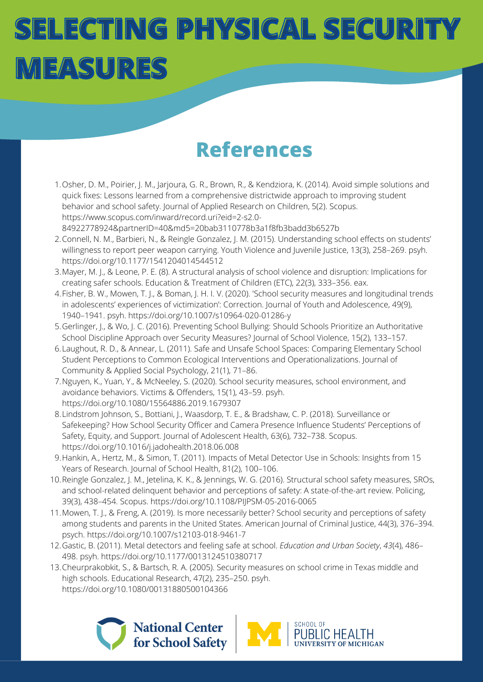### **References**

- 1.Osher, D. M., Poirier, J. M., Jarjoura, G. R., Brown, R., & Kendziora, K. (2014). Avoid simple solutions and quick fixes: Lessons learned from a comprehensive districtwide approach to improving student behavior and school safety. Journal of Applied Research on Children, 5(2). Scopus. https://www.scopus.com/inward/record.uri?eid=2-s2.0- [84922778924&partnerID=40&md5=20bab3110778b3a1f8fb3badd3b6527b](https://www.zotero.org/google-docs/?pt9Ji2)
- Connell, N. M., Barbieri, N., & Reingle Gonzalez, J. M. (2015). Understanding school effects on students' 2. willingness to report peer weapon carrying. Youth Violence and Juvenile Justice, 13(3), 258–269. psyh. [https://doi.org/10.1177/1541204014544512](https://www.zotero.org/google-docs/?pt9Ji2)
- Mayer, M. J., & Leone, P. E. (8). A structural analysis of school violence and disruption: [Implications](https://www.zotero.org/google-docs/?pt9Ji2) for 3. creating safer schools. Education & Treatment of Children (ETC), 22(3), 333–356. eax.
- Fisher, B. W., Mowen, T. J., & Boman, J. H. I. V. (2020). 'School security measures and longitudinal trends 4. in adolescents' experiences of victimization': Correction. Journal of Youth and Adolescence, 49(9), 1940–1941. psyh. https://doi.org/10.1007/s10964-020-01286-y
- Gerlinger, J., & Wo, J. C. (2016). Preventing School Bullying: Should Schools Prioritize an [Authoritative](https://www.zotero.org/google-docs/?pt9Ji2) 5. School Discipline Approach over Security Measures? Journal of School Violence, 15(2), 133–157.
- Laughout, R. D., & Annear, L. (2011). Safe and Unsafe School Spaces: Comparing Elementary School 6. Student Perceptions to Common Ecological Interventions and [Operationalizations.](https://www.zotero.org/google-docs/?pt9Ji2) Journal of Community & Applied Social Psychology, 21(1), 71–86.
- 7. Nguyen, K., Yuan, Y., & McNeeley, S. (2020). School security measures, school [environment,](https://www.zotero.org/google-docs/?pt9Ji2) and avoidance behaviors. Victims & Offenders, 15(1), 43–59. psyh. <https://doi.org/10.1080/15564886.2019.1679307>
- Lindstrom Johnson, S., Bottiani, J., Waasdorp, T. E., & Bradshaw, C. P. (2018). Surveillance or 8. [Safekeeping?](https://www.zotero.org/google-docs/?pt9Ji2) How School Security Officer and Camera Presence Influence Students' Perceptions of Safety, Equity, and Support. Journal of Adolescent Health, 63(6), 732–738. Scopus. <https://doi.org/10.1016/j.jadohealth.2018.06.008>
- 9. Hankin, A., Hertz, M., & Simon, T. (2011). Impacts of Metal Detector Use in Schools: Insights from 15 Years of [Research.](https://www.zotero.org/google-docs/?pt9Ji2) Journal of School Health, 81(2), 100–106.
- 10. Reingle Gonzalez, J. M., Jetelina, K. K., & Jennings, W. G. (2016). Structural school safety measures, SROs, and school-related delinquent behavior and perceptions of safety: A state-of-the-art review. Policing, 39(3), 438–454. Scopus. [https://doi.org/10.1108/PIJPSM-05-2016-0065](https://www.zotero.org/google-docs/?pt9Ji2)
- 11. Mowen, T. J., & Freng, A. (2019). Is more necessarily better? School security and perceptions of safety among students and parents in the United States. American Journal of Criminal Justice, 44(3), 376–394. psych. [https://doi.org/10.1007/s12103-018-9461-7](https://www.zotero.org/google-docs/?pt9Ji2)
- Gastic, B. (2011). Metal [detectors](https://www.zotero.org/google-docs/?pt9Ji2) and feeling safe at school. *[Education](https://www.zotero.org/google-docs/?pt9Ji2) and Urban Society*[,](https://www.zotero.org/google-docs/?pt9Ji2) *[43](https://www.zotero.org/google-docs/?pt9Ji2)*(4), 486– 12. 498. psyh. [https://doi.org/10.1177/0013124510380717](https://www.zotero.org/google-docs/?pt9Ji2)
- 13. [Cheurprakobkit,](https://www.zotero.org/google-docs/?pt9Ji2) S., & Bartsch, R. A. (2005). Security measures on school crime in Texas middle and high schools. Educational Research, 47(2), 235–250. psyh. <https://doi.org/10.1080/00131880500104366>